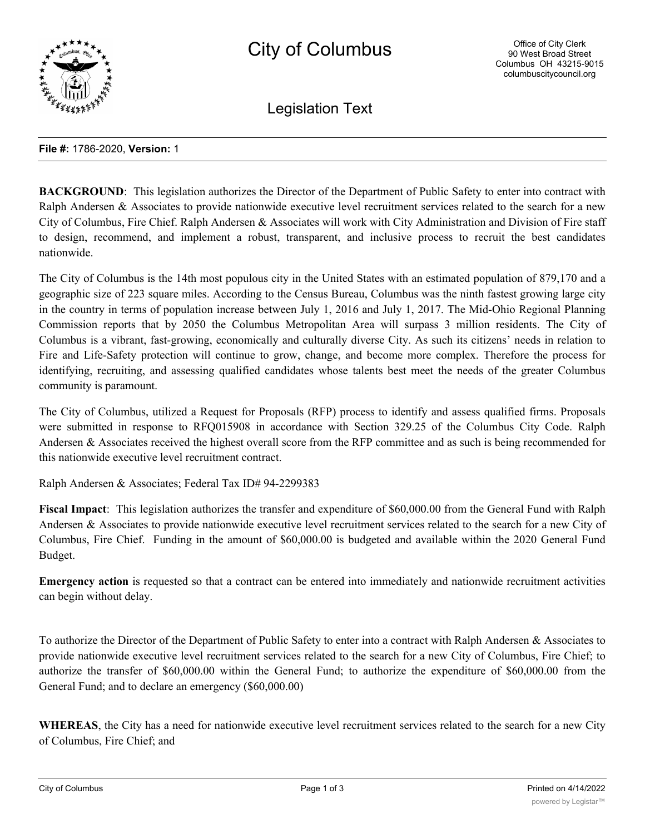

Legislation Text

#### **File #:** 1786-2020, **Version:** 1

**BACKGROUND:** This legislation authorizes the Director of the Department of Public Safety to enter into contract with Ralph Andersen & Associates to provide nationwide executive level recruitment services related to the search for a new City of Columbus, Fire Chief. Ralph Andersen & Associates will work with City Administration and Division of Fire staff to design, recommend, and implement a robust, transparent, and inclusive process to recruit the best candidates nationwide.

The City of Columbus is the 14th most populous city in the United States with an estimated population of 879,170 and a geographic size of 223 square miles. According to the Census Bureau, Columbus was the ninth fastest growing large city in the country in terms of population increase between July 1, 2016 and July 1, 2017. The Mid-Ohio Regional Planning Commission reports that by 2050 the Columbus Metropolitan Area will surpass 3 million residents. The City of Columbus is a vibrant, fast-growing, economically and culturally diverse City. As such its citizens' needs in relation to Fire and Life-Safety protection will continue to grow, change, and become more complex. Therefore the process for identifying, recruiting, and assessing qualified candidates whose talents best meet the needs of the greater Columbus community is paramount.

The City of Columbus, utilized a Request for Proposals (RFP) process to identify and assess qualified firms. Proposals were submitted in response to RFQ015908 in accordance with Section 329.25 of the Columbus City Code. Ralph Andersen & Associates received the highest overall score from the RFP committee and as such is being recommended for this nationwide executive level recruitment contract.

Ralph Andersen & Associates; Federal Tax ID# 94-2299383

**Fiscal Impact**: This legislation authorizes the transfer and expenditure of \$60,000.00 from the General Fund with Ralph Andersen & Associates to provide nationwide executive level recruitment services related to the search for a new City of Columbus, Fire Chief. Funding in the amount of \$60,000.00 is budgeted and available within the 2020 General Fund Budget.

**Emergency action** is requested so that a contract can be entered into immediately and nationwide recruitment activities can begin without delay.

To authorize the Director of the Department of Public Safety to enter into a contract with Ralph Andersen & Associates to provide nationwide executive level recruitment services related to the search for a new City of Columbus, Fire Chief; to authorize the transfer of \$60,000.00 within the General Fund; to authorize the expenditure of \$60,000.00 from the General Fund; and to declare an emergency (\$60,000.00)

**WHEREAS**, the City has a need for nationwide executive level recruitment services related to the search for a new City of Columbus, Fire Chief; and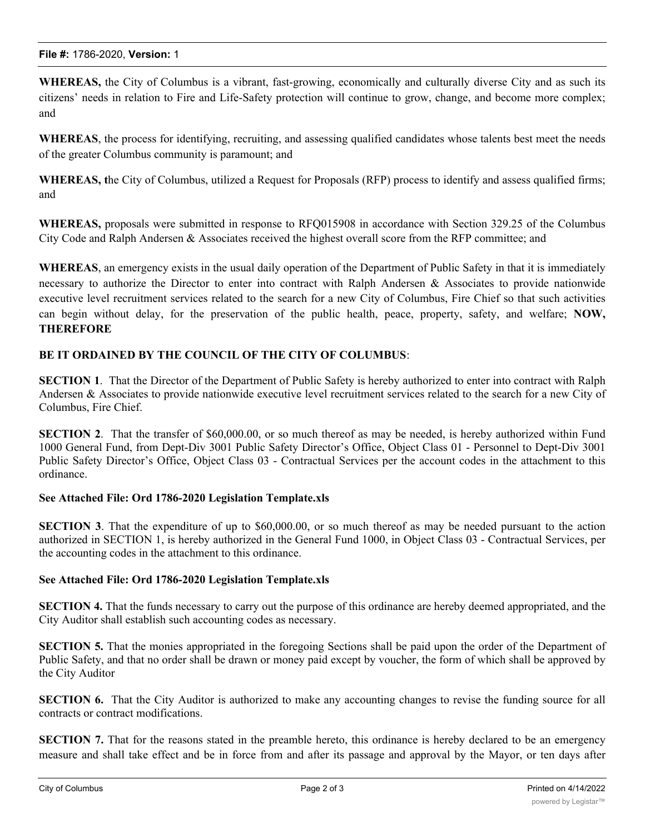**WHEREAS,** the City of Columbus is a vibrant, fast-growing, economically and culturally diverse City and as such its citizens' needs in relation to Fire and Life-Safety protection will continue to grow, change, and become more complex; and

**WHEREAS**, the process for identifying, recruiting, and assessing qualified candidates whose talents best meet the needs of the greater Columbus community is paramount; and

**WHEREAS, t**he City of Columbus, utilized a Request for Proposals (RFP) process to identify and assess qualified firms; and

**WHEREAS,** proposals were submitted in response to RFQ015908 in accordance with Section 329.25 of the Columbus City Code and Ralph Andersen & Associates received the highest overall score from the RFP committee; and

**WHEREAS**, an emergency exists in the usual daily operation of the Department of Public Safety in that it is immediately necessary to authorize the Director to enter into contract with Ralph Andersen & Associates to provide nationwide executive level recruitment services related to the search for a new City of Columbus, Fire Chief so that such activities can begin without delay, for the preservation of the public health, peace, property, safety, and welfare; **NOW, THEREFORE**

## **BE IT ORDAINED BY THE COUNCIL OF THE CITY OF COLUMBUS**:

**SECTION 1**. That the Director of the Department of Public Safety is hereby authorized to enter into contract with Ralph Andersen & Associates to provide nationwide executive level recruitment services related to the search for a new City of Columbus, Fire Chief.

**SECTION 2**. That the transfer of \$60,000.00, or so much thereof as may be needed, is hereby authorized within Fund 1000 General Fund, from Dept-Div 3001 Public Safety Director's Office, Object Class 01 - Personnel to Dept-Div 3001 Public Safety Director's Office, Object Class 03 - Contractual Services per the account codes in the attachment to this ordinance.

### **See Attached File: Ord 1786-2020 Legislation Template.xls**

**SECTION 3**. That the expenditure of up to \$60,000.00, or so much thereof as may be needed pursuant to the action authorized in SECTION 1, is hereby authorized in the General Fund 1000, in Object Class 03 - Contractual Services, per the accounting codes in the attachment to this ordinance.

### **See Attached File: Ord 1786-2020 Legislation Template.xls**

**SECTION 4.** That the funds necessary to carry out the purpose of this ordinance are hereby deemed appropriated, and the City Auditor shall establish such accounting codes as necessary.

**SECTION 5.** That the monies appropriated in the foregoing Sections shall be paid upon the order of the Department of Public Safety, and that no order shall be drawn or money paid except by voucher, the form of which shall be approved by the City Auditor

**SECTION 6.** That the City Auditor is authorized to make any accounting changes to revise the funding source for all contracts or contract modifications.

**SECTION 7.** That for the reasons stated in the preamble hereto, this ordinance is hereby declared to be an emergency measure and shall take effect and be in force from and after its passage and approval by the Mayor, or ten days after